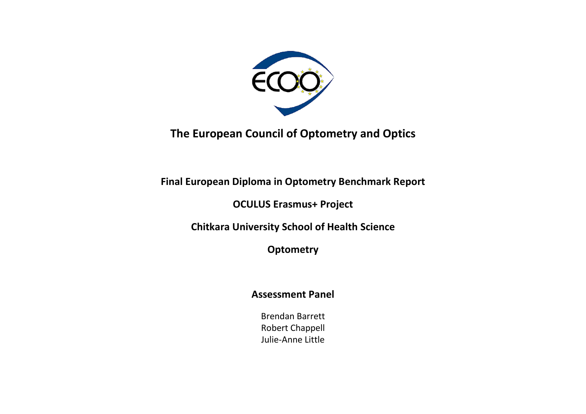

**The European Council of Optometry and Optics**

**Final European Diploma in Optometry Benchmark Report** 

**OCULUS Erasmus+ Project**

**Chitkara University School of Health Science**

**Optometry**

### **Assessment Panel**

Brendan Barrett Robert Chappell Julie-Anne Little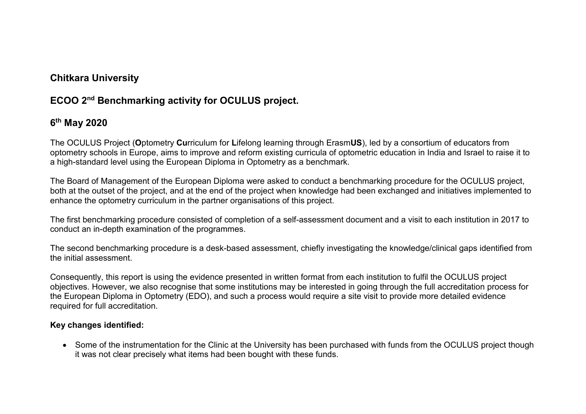## **Chitkara University**

## **ECOO 2nd Benchmarking activity for OCULUS project.**

## **6th May 2020**

The OCULUS Project (**O**ptometry **Cu**rriculum for **L**ifelong learning through Erasm**US**), led by a consortium of educators from optometry schools in Europe, aims to improve and reform existing curricula of optometric education in India and Israel to raise it to a high-standard level using the European Diploma in Optometry as a benchmark.

The Board of Management of the European Diploma were asked to conduct a benchmarking procedure for the OCULUS project, both at the outset of the project, and at the end of the project when knowledge had been exchanged and initiatives implemented to enhance the optometry curriculum in the partner organisations of this project.

The first benchmarking procedure consisted of completion of a self-assessment document and a visit to each institution in 2017 to conduct an in-depth examination of the programmes.

The second benchmarking procedure is a desk-based assessment, chiefly investigating the knowledge/clinical gaps identified from the initial assessment.

Consequently, this report is using the evidence presented in written format from each institution to fulfil the OCULUS project objectives. However, we also recognise that some institutions may be interested in going through the full accreditation process for the European Diploma in Optometry (EDO), and such a process would require a site visit to provide more detailed evidence required for full accreditation.

#### **Key changes identified:**

• Some of the instrumentation for the Clinic at the University has been purchased with funds from the OCULUS project though it was not clear precisely what items had been bought with these funds.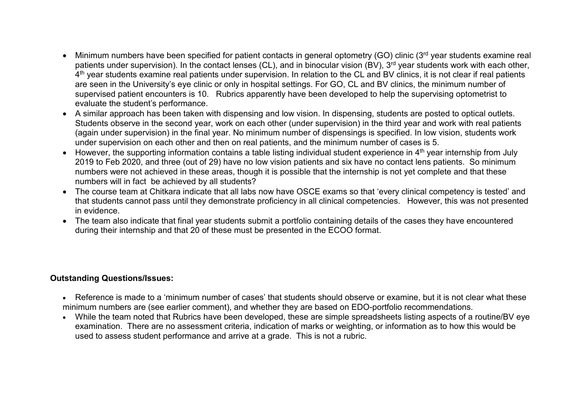- Minimum numbers have been specified for patient contacts in general optometry (GO) clinic (3<sup>rd</sup> year students examine real patients under supervision). In the contact lenses (CL), and in binocular vision (BV), 3<sup>rd</sup> vear students work with each other, 4<sup>th</sup> year students examine real patients under supervision. In relation to the CL and BV clinics, it is not clear if real patients are seen in the University's eye clinic or only in hospital settings. For GO, CL and BV clinics, the minimum number of supervised patient encounters is 10. Rubrics apparently have been developed to help the supervising optometrist to evaluate the student's performance.
- A similar approach has been taken with dispensing and low vision. In dispensing, students are posted to optical outlets. Students observe in the second year, work on each other (under supervision) in the third year and work with real patients (again under supervision) in the final year. No minimum number of dispensings is specified. In low vision, students work under supervision on each other and then on real patients, and the minimum number of cases is 5.
- However, the supporting information contains a table listing individual student experience in 4<sup>th</sup> year internship from July 2019 to Feb 2020, and three (out of 29) have no low vision patients and six have no contact lens patients. So minimum numbers were not achieved in these areas, though it is possible that the internship is not yet complete and that these numbers will in fact be achieved by all students?
- The course team at Chitkara indicate that all labs now have OSCE exams so that 'every clinical competency is tested' and that students cannot pass until they demonstrate proficiency in all clinical competencies. However, this was not presented in evidence.
- The team also indicate that final year students submit a portfolio containing details of the cases they have encountered during their internship and that 20 of these must be presented in the ECOO format.

#### **Outstanding Questions/Issues:**

- Reference is made to a 'minimum number of cases' that students should observe or examine, but it is not clear what these minimum numbers are (see earlier comment), and whether they are based on EDO-portfolio recommendations.
- While the team noted that Rubrics have been developed, these are simple spreadsheets listing aspects of a routine/BV eye examination. There are no assessment criteria, indication of marks or weighting, or information as to how this would be used to assess student performance and arrive at a grade. This is not a rubric.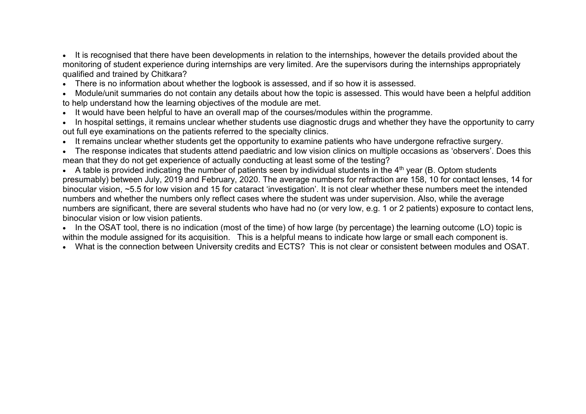• It is recognised that there have been developments in relation to the internships, however the details provided about the monitoring of student experience during internships are very limited. Are the supervisors during the internships appropriately qualified and trained by Chitkara?

• There is no information about whether the logbook is assessed, and if so how it is assessed.

• Module/unit summaries do not contain any details about how the topic is assessed. This would have been a helpful addition to help understand how the learning objectives of the module are met.

- It would have been helpful to have an overall map of the courses/modules within the programme.
- In hospital settings, it remains unclear whether students use diagnostic drugs and whether they have the opportunity to carry out full eye examinations on the patients referred to the specialty clinics.
- It remains unclear whether students get the opportunity to examine patients who have undergone refractive surgery.

• The response indicates that students attend paediatric and low vision clinics on multiple occasions as 'observers'. Does this mean that they do not get experience of actually conducting at least some of the testing?

• A table is provided indicating the number of patients seen by individual students in the  $4<sup>th</sup>$  year (B. Optom students presumably) between July, 2019 and February, 2020. The average numbers for refraction are 158, 10 for contact lenses, 14 for binocular vision, ~5.5 for low vision and 15 for cataract 'investigation'. It is not clear whether these numbers meet the intended numbers and whether the numbers only reflect cases where the student was under supervision. Also, while the average numbers are significant, there are several students who have had no (or very low, e.g. 1 or 2 patients) exposure to contact lens, binocular vision or low vision patients.

• In the OSAT tool, there is no indication (most of the time) of how large (by percentage) the learning outcome (LO) topic is within the module assigned for its acquisition. This is a helpful means to indicate how large or small each component is.

• What is the connection between University credits and ECTS? This is not clear or consistent between modules and OSAT.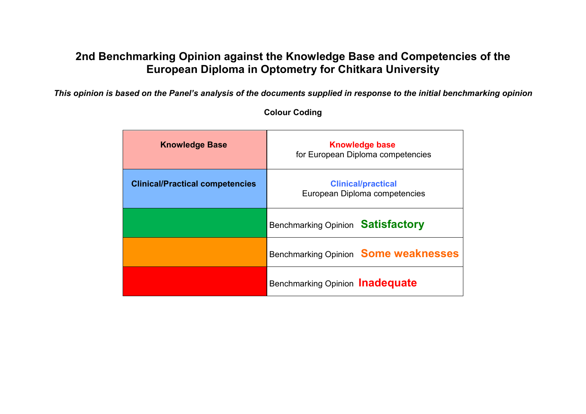# **2nd Benchmarking Opinion against the Knowledge Base and Competencies of the European Diploma in Optometry for Chitkara University**

*This opinion is based on the Panel's analysis of the documents supplied in response to the initial benchmarking opinion*

| <b>Knowledge Base</b>                  | <b>Knowledge base</b><br>for European Diploma competencies |
|----------------------------------------|------------------------------------------------------------|
| <b>Clinical/Practical competencies</b> | <b>Clinical/practical</b><br>European Diploma competencies |
|                                        | Benchmarking Opinion <b>Satisfactory</b>                   |
|                                        | Benchmarking Opinion Some weaknesses                       |
|                                        | Benchmarking Opinion Inadequate                            |

### **Colour Coding**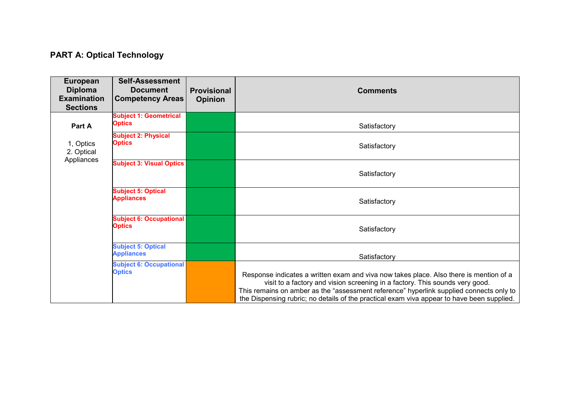## **PART A: Optical Technology**

| <b>European</b><br><b>Diploma</b><br><b>Examination</b><br><b>Sections</b> | <b>Self-Assessment</b><br><b>Document</b><br><b>Competency Areas</b> | <b>Provisional</b><br><b>Opinion</b> | <b>Comments</b>                                                                                                                                                                                                                                                                                                                                                 |
|----------------------------------------------------------------------------|----------------------------------------------------------------------|--------------------------------------|-----------------------------------------------------------------------------------------------------------------------------------------------------------------------------------------------------------------------------------------------------------------------------------------------------------------------------------------------------------------|
| Part A                                                                     | <b>Subject 1: Geometrical</b><br><b>Optics</b>                       |                                      | Satisfactory                                                                                                                                                                                                                                                                                                                                                    |
| 1, Optics<br>2. Optical<br>Appliances                                      | <b>Subject 2: Physical</b><br><b>Optics</b>                          |                                      | Satisfactory                                                                                                                                                                                                                                                                                                                                                    |
|                                                                            | <b>Subject 3: Visual Optics</b>                                      |                                      | Satisfactory                                                                                                                                                                                                                                                                                                                                                    |
|                                                                            | <b>Subject 5: Optical</b><br><b>Appliances</b>                       |                                      | Satisfactory                                                                                                                                                                                                                                                                                                                                                    |
|                                                                            | <b>Subject 6: Occupational</b><br><b>Optics</b>                      |                                      | Satisfactory                                                                                                                                                                                                                                                                                                                                                    |
|                                                                            | <b>Subject 5: Optical</b><br><b>Appliances</b>                       |                                      | Satisfactory                                                                                                                                                                                                                                                                                                                                                    |
|                                                                            | <b>Subject 6: Occupational</b><br><b>Optics</b>                      |                                      | Response indicates a written exam and viva now takes place. Also there is mention of a<br>visit to a factory and vision screening in a factory. This sounds very good.<br>This remains on amber as the "assessment reference" hyperlink supplied connects only to<br>the Dispensing rubric; no details of the practical exam viva appear to have been supplied. |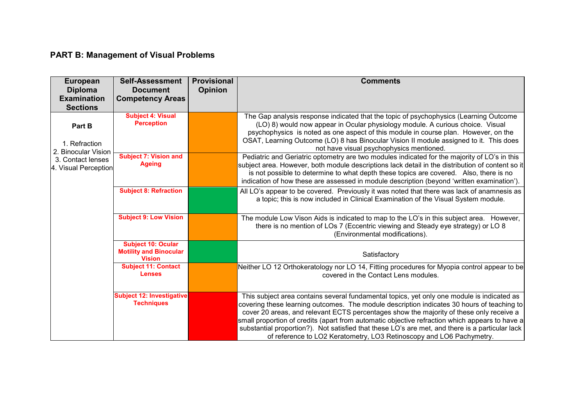## **PART B: Management of Visual Problems**

| <b>European</b><br><b>Diploma</b>                                                           | <b>Self-Assessment</b><br><b>Document</b>                                   | <b>Provisional</b><br><b>Opinion</b> | <b>Comments</b>                                                                                                                                                                                                                                                                                                                                                                                                                                                                                                                                                  |
|---------------------------------------------------------------------------------------------|-----------------------------------------------------------------------------|--------------------------------------|------------------------------------------------------------------------------------------------------------------------------------------------------------------------------------------------------------------------------------------------------------------------------------------------------------------------------------------------------------------------------------------------------------------------------------------------------------------------------------------------------------------------------------------------------------------|
| <b>Examination</b><br><b>Sections</b>                                                       | <b>Competency Areas</b>                                                     |                                      |                                                                                                                                                                                                                                                                                                                                                                                                                                                                                                                                                                  |
| Part B<br>1. Refraction<br>2. Binocular Vision<br>3. Contact lenses<br>4. Visual Perception | <b>Subject 4: Visual</b><br><b>Perception</b>                               |                                      | The Gap analysis response indicated that the topic of psychophysics (Learning Outcome<br>(LO) 8) would now appear in Ocular physiology module. A curious choice. Visual<br>psychophysics is noted as one aspect of this module in course plan. However, on the<br>OSAT, Learning Outcome (LO) 8 has Binocular Vision II module assigned to it. This does<br>not have visual psychophysics mentioned.                                                                                                                                                             |
|                                                                                             | <b>Subject 7: Vision and</b><br><b>Ageing</b>                               |                                      | Pediatric and Geriatric optometry are two modules indicated for the majority of LO's in this<br>subject area. However, both module descriptions lack detail in the distribution of content so it<br>is not possible to determine to what depth these topics are covered. Also, there is no<br>indication of how these are assessed in module description (beyond 'written examination').                                                                                                                                                                         |
|                                                                                             | <b>Subject 8: Refraction</b>                                                |                                      | All LO's appear to be covered. Previously it was noted that there was lack of anamnesis as<br>a topic; this is now included in Clinical Examination of the Visual System module.                                                                                                                                                                                                                                                                                                                                                                                 |
|                                                                                             | <b>Subject 9: Low Vision</b>                                                |                                      | The module Low Vison Aids is indicated to map to the LO's in this subject area. However,<br>there is no mention of LOs 7 (Eccentric viewing and Steady eye strategy) or LO 8<br>(Environmental modifications).                                                                                                                                                                                                                                                                                                                                                   |
|                                                                                             | <b>Subject 10: Ocular</b><br><b>Motility and Binocular</b><br><b>Vision</b> |                                      | Satisfactory                                                                                                                                                                                                                                                                                                                                                                                                                                                                                                                                                     |
|                                                                                             | <b>Subject 11: Contact</b><br><b>Lenses</b>                                 |                                      | Neither LO 12 Orthokeratology nor LO 14, Fitting procedures for Myopia control appear to be<br>covered in the Contact Lens modules.                                                                                                                                                                                                                                                                                                                                                                                                                              |
|                                                                                             | <b>Subject 12: Investigative</b><br><b>Techniques</b>                       |                                      | This subject area contains several fundamental topics, yet only one module is indicated as<br>covering these learning outcomes. The module description indicates 30 hours of teaching to<br>cover 20 areas, and relevant ECTS percentages show the majority of these only receive a<br>small proportion of credits (apart from automatic objective refraction which appears to have a<br>substantial proportion?). Not satisfied that these LO's are met, and there is a particular lack<br>of reference to LO2 Keratometry, LO3 Retinoscopy and LO6 Pachymetry. |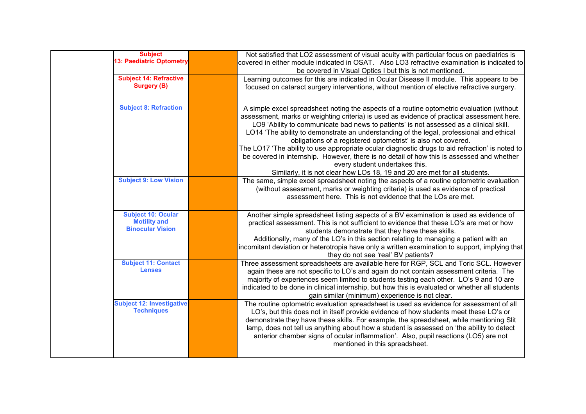| <b>Subject</b><br><b>13: Paediatric Optometry</b>                           | Not satisfied that LO2 assessment of visual acuity with particular focus on paediatrics is<br>covered in either module indicated in OSAT. Also LO3 refractive examination is indicated to<br>be covered in Visual Optics I but this is not mentioned.                                                                                                                                                                                                                                                                                                                                                                                                                                                                                                          |
|-----------------------------------------------------------------------------|----------------------------------------------------------------------------------------------------------------------------------------------------------------------------------------------------------------------------------------------------------------------------------------------------------------------------------------------------------------------------------------------------------------------------------------------------------------------------------------------------------------------------------------------------------------------------------------------------------------------------------------------------------------------------------------------------------------------------------------------------------------|
| <b>Subject 14: Refractive</b><br><b>Surgery (B)</b>                         | Learning outcomes for this are indicated in Ocular Disease II module. This appears to be<br>focused on cataract surgery interventions, without mention of elective refractive surgery.                                                                                                                                                                                                                                                                                                                                                                                                                                                                                                                                                                         |
| <b>Subject 8: Refraction</b>                                                | A simple excel spreadsheet noting the aspects of a routine optometric evaluation (without<br>assessment, marks or weighting criteria) is used as evidence of practical assessment here.<br>LO9 'Ability to communicate bad news to patients' is not assessed as a clinical skill.<br>LO14 'The ability to demonstrate an understanding of the legal, professional and ethical<br>obligations of a registered optometrist' is also not covered.<br>The LO17 'The ability to use appropriate ocular diagnostic drugs to aid refraction' is noted to<br>be covered in internship. However, there is no detail of how this is assessed and whether<br>every student undertakes this.<br>Similarly, it is not clear how LOs 18, 19 and 20 are met for all students. |
| <b>Subject 9: Low Vision</b>                                                | The same, simple excel spreadsheet noting the aspects of a routine optometric evaluation<br>(without assessment, marks or weighting criteria) is used as evidence of practical<br>assessment here. This is not evidence that the LOs are met.                                                                                                                                                                                                                                                                                                                                                                                                                                                                                                                  |
| <b>Subject 10: Ocular</b><br><b>Motility and</b><br><b>Binocular Vision</b> | Another simple spreadsheet listing aspects of a BV examination is used as evidence of<br>practical assessment. This is not sufficient to evidence that these LO's are met or how<br>students demonstrate that they have these skills.<br>Additionally, many of the LO's in this section relating to managing a patient with an<br>incomitant deviation or heterotropia have only a written examination to support, implying that<br>they do not see 'real' BV patients?                                                                                                                                                                                                                                                                                        |
| <b>Subject 11: Contact</b><br><b>Lenses</b>                                 | Three assessment spreadsheets are available here for RGP, SCL and Toric SCL. However<br>again these are not specific to LO's and again do not contain assessment criteria. The<br>majority of experiences seem limited to students testing each other. LO's 9 and 10 are<br>indicated to be done in clinical internship, but how this is evaluated or whether all students<br>gain similar (minimum) experience is not clear.                                                                                                                                                                                                                                                                                                                                  |
| <b>Subject 12: Investigative</b><br><b>Techniques</b>                       | The routine optometric evaluation spreadsheet is used as evidence for assessment of all<br>LO's, but this does not in itself provide evidence of how students meet these LO's or<br>demonstrate they have these skills. For example, the spreadsheet, while mentioning Slit<br>lamp, does not tell us anything about how a student is assessed on 'the ability to detect<br>anterior chamber signs of ocular inflammation'. Also, pupil reactions (LO5) are not<br>mentioned in this spreadsheet.                                                                                                                                                                                                                                                              |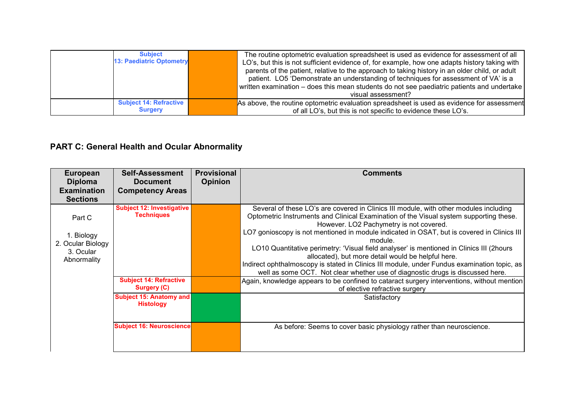| <b>Subject</b><br><b>13: Paediatric Optometry</b> | The routine optometric evaluation spreadsheet is used as evidence for assessment of all<br>LO's, but this is not sufficient evidence of, for example, how one adapts history taking with<br>parents of the patient, relative to the approach to taking history in an older child, or adult<br>patient. LO5 'Demonstrate an understanding of techniques for assessment of VA' is a<br>written examination – does this mean students do not see paediatric patients and undertake<br>visual assessment? |
|---------------------------------------------------|-------------------------------------------------------------------------------------------------------------------------------------------------------------------------------------------------------------------------------------------------------------------------------------------------------------------------------------------------------------------------------------------------------------------------------------------------------------------------------------------------------|
| <b>Subject 14: Refractive</b><br><b>Surgery</b>   | As above, the routine optometric evaluation spreadsheet is used as evidence for assessment<br>of all LO's, but this is not specific to evidence these LO's.                                                                                                                                                                                                                                                                                                                                           |

# **PART C: General Health and Ocular Abnormality**

| <b>European</b><br><b>Diploma</b><br><b>Examination</b><br><b>Sections</b> | <b>Self-Assessment</b><br><b>Document</b><br><b>Competency Areas</b> | <b>Provisional</b><br><b>Opinion</b> | <b>Comments</b>                                                                                                                                                                                                                                                                                                                                                                                                                                                                                                                                                                                                                                                       |
|----------------------------------------------------------------------------|----------------------------------------------------------------------|--------------------------------------|-----------------------------------------------------------------------------------------------------------------------------------------------------------------------------------------------------------------------------------------------------------------------------------------------------------------------------------------------------------------------------------------------------------------------------------------------------------------------------------------------------------------------------------------------------------------------------------------------------------------------------------------------------------------------|
| Part C<br>1. Biology<br>2. Ocular Biology<br>3. Ocular<br>Abnormality      | <b>Subject 12: Investigative</b><br><b>Techniques</b>                |                                      | Several of these LO's are covered in Clinics III module, with other modules including<br>Optometric Instruments and Clinical Examination of the Visual system supporting these.<br>However. LO2 Pachymetry is not covered.<br>LO7 gonioscopy is not mentioned in module indicated in OSAT, but is covered in Clinics III<br>module<br>LO10 Quantitative perimetry: 'Visual field analyser' is mentioned in Clinics III (2hours<br>allocated), but more detail would be helpful here.<br>Indirect ophthalmoscopy is stated in Clinics III module, under Fundus examination topic, as<br>well as some OCT. Not clear whether use of diagnostic drugs is discussed here. |
|                                                                            | <b>Subject 14: Refractive</b><br>Surgery (C)                         |                                      | Again, knowledge appears to be confined to cataract surgery interventions, without mention<br>of elective refractive surgery                                                                                                                                                                                                                                                                                                                                                                                                                                                                                                                                          |
|                                                                            | <b>Subject 15: Anatomy and</b><br><b>Histology</b>                   |                                      | Satisfactory                                                                                                                                                                                                                                                                                                                                                                                                                                                                                                                                                                                                                                                          |
|                                                                            | <b>Subject 16: Neuroscience</b>                                      |                                      | As before: Seems to cover basic physiology rather than neuroscience.                                                                                                                                                                                                                                                                                                                                                                                                                                                                                                                                                                                                  |